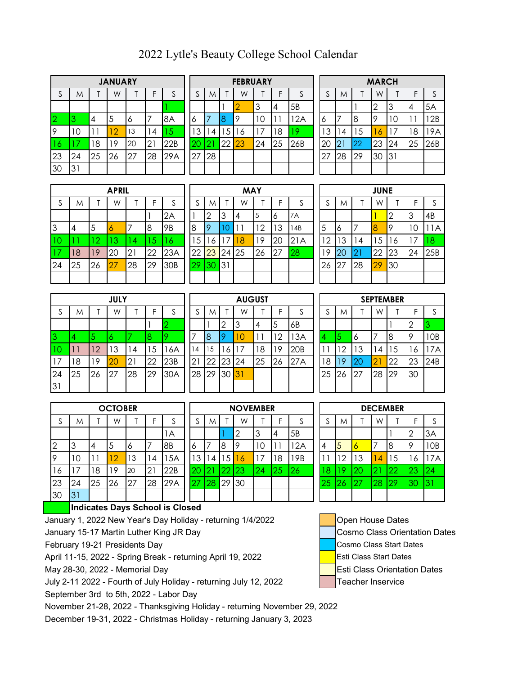|             |    |    | <b>JANUARY</b> |    |               |             |    |    |    | <b>FEBRUARY</b> |     |    |     |    |        |    |    | <b>MARCH</b> |    |    |     |
|-------------|----|----|----------------|----|---------------|-------------|----|----|----|-----------------|-----|----|-----|----|--------|----|----|--------------|----|----|-----|
| $\sim$<br>C | M  |    | W              |    |               | $\sim$<br>J | S  | M  |    | W               |     |    | ς   |    | $\sim$ | M  |    | W            |    |    |     |
|             |    |    |                |    |               |             |    |    |    |                 | З   | 4  | 5B  |    |        |    |    | . ∼          | З  | 4  | 5A  |
| 12          |    | 4  | 5              |    |               | 8A          | O  |    |    |                 | 1 C |    | 2A  | 6  |        |    | 18 | Q            | C  |    | 2B  |
| 9           | 0  |    | $\overline{2}$ | 13 | $^{\prime}$ 4 | Ō           | 3  | 4  | 5  | <sup>16</sup>   | 17  | 8  |     | 13 |        | 14 | 5  | 6            |    | 18 | 9A  |
| -16         |    | 18 | 19             | 20 | $2^{\circ}$   | 22B         | 20 |    | 22 | 23              | 24  | 25 | 26B | 20 |        | 21 | 22 | 23           | 24 | 25 | 26B |
| 23          | 24 | 25 | 26             | 27 | 28            | 29A         | 27 | 28 |    |                 |     |    |     | 27 |        | 28 | 29 | 30           | 31 |    |     |
| 30          | 3  |    |                |    |               |             |    |    |    |                 |     |    |     |    |        |    |    |              |    |    |     |

| <b>JANUARY</b> |    |    |     |    |    |    | <b>FEBRUARY</b> |    |    |     |    |    |    | <b>MARCH</b> |    |
|----------------|----|----|-----|----|----|----|-----------------|----|----|-----|----|----|----|--------------|----|
| W              |    |    | S   | S  | M  |    | W               |    |    | S   | c  | M  |    | W            |    |
|                |    |    |     |    |    |    |                 | 3  | 4  | 5B  |    |    |    | ⌒            | 3  |
| 5              | 6  |    | 8A  | Ô  |    | 8  | 9               | 10 |    | 12A | 6  |    | 8  | Q            | 10 |
| 12             | 13 | 4  |     | 3  | 14 | 5  | 16              | 17 | 8  | -9  | 3  | 4  | 5  | 6            | 17 |
| 19             | 20 | 2  | 22B | 20 |    | 22 | 23              | 24 | 25 | 26B | 20 | 21 | 22 | 23           | 24 |
| 26             | 27 | 28 | 29A | 27 | 28 |    |                 |    |    |     | 27 | 28 | 29 | 30           | 31 |
|                |    |    |     |    |    |    |                 |    |    |     |    |    |    |              |    |

|      |                 |    |    | <b>FEBRUARY</b> |    |    |     |    |                |    | <b>MARCH</b> |    |    |     |
|------|-----------------|----|----|-----------------|----|----|-----|----|----------------|----|--------------|----|----|-----|
| S    | S               | M  |    | W               |    |    | S   | S  | M              |    | W            |    |    | S   |
|      |                 |    |    |                 | 3  | 4  | 5B  |    |                |    | '2           | 3  | 4  | 5A  |
| 8A   | Ô               |    |    | 9               | 10 |    | 12A | 6  | 7              | 8  | 9            | 10 |    | 2B  |
| 15   | 3               | 4  | 5  | 16              |    | 8  | 19. | 3  | 4              | 5  | 6            |    | 8  | 9A  |
| 22B  | $\overline{20}$ | 21 | 22 | 23              | 24 | 25 | 26B | 20 | $\overline{2}$ | 22 | 23           | 24 | 25 | 26B |
| 29 A | 27              | 28 |    |                 |    |    |     | 27 | 28             | 29 | 30           | 31 |    |     |
|      |                 |    |    |                 |    |    |     |    |                |    |              |    |    |     |

|          |    |    | <b>APRIL</b> |    |            |                 |    |    |                | <b>MAY</b> |    |         |      |    |     |    | <b>JUNE</b>    |    |        |     |
|----------|----|----|--------------|----|------------|-----------------|----|----|----------------|------------|----|---------|------|----|-----|----|----------------|----|--------|-----|
| <b>J</b> | M  |    | W            |    | F          | $\sim$<br>C     | S  | M  |                | W          |    |         |      |    | M   |    | W              |    | F      |     |
|          |    |    |              |    |            | 2A              |    | 2  | 3              | 4          | 5  | $\circ$ | 7A   |    |     |    |                |    | ≘<br>Ĵ | 4B  |
| 3        | 4  | 5  | $\circ$      |    | 8          | 9B              | 8  | 19 | ∩              |            | 12 | 13      | l 4B | 5  | l 6 |    | $\overline{8}$ | 9  | 10     | 1A  |
|          |    | 12 | 13           | -4 | $\sqrt{5}$ | 16              | 5  | 6  | $\overline{7}$ | 18         | 19 | 20      | 21A  | 12 | 13  | 4  | 5              | 16 |        | 18  |
|          | 18 | 19 | 20           | 21 | 22         | 23A             | 22 | 23 | 24             | 25         | 26 | 27      | 28   | 19 | 20  |    | 22             | 23 | 24     | 25B |
| 24       | 25 | 26 | 27           | 28 | 29         | 30 <sub>B</sub> | 29 | 30 | 31             |            |    |         |      | 26 | 27  | 28 | 29             | 30 |        |     |
|          |    |    |              |    |            |                 |    |    |                |            |    |         |      |    |     |    |                |    |        |     |

| <b>APRIL</b> |                |    |     |    |                 |    | <b>MAY</b> |    |    |           |    |    |                | <b>JUNE</b> |    |    |    |
|--------------|----------------|----|-----|----|-----------------|----|------------|----|----|-----------|----|----|----------------|-------------|----|----|----|
| W            |                | Е  | c   | S  | M               |    | W          |    |    | S         | S  | M  |                | W           |    | F  |    |
|              |                |    | 2A  |    | ⌒               | 3  | 14         | 5  | 6  | <b>7A</b> |    |    |                |             | 2  | 3  | 4B |
| 6            | 7              | 8  | 9B  | 8  | 9               |    |            | 12 | 13 | l 4B      | 5  | 6  |                | 18          | 19 | 10 | 11 |
| 13           | $\overline{A}$ | 5  | 16  | 5  | 6               |    | 18         | 19 | 20 | 21A       | 12 | 13 | $\overline{4}$ | 5           | 16 | 17 | 18 |
| 20           | 21             | 22 | 23A | 22 | 23              | 24 | 25         | 26 | 27 | 28        | 19 | 20 | 21             | 22          | 23 | 24 | 25 |
| 27           | 28             | 29 | 30B | 29 | 30 <sup>°</sup> | 31 |            |    |    |           | 26 | 27 | 28             | 29          | 30 |    |    |
|              |                |    |     |    |                 |    |            |    |    |           |    |    |                |             |    |    |    |

| 24 | 25                           | 26      | $\overline{2}$ | 28 | 29      | 30B    | 29 | 30 | 31 |    |    |    |                 | 26     | 27 | 28 | 29             | 30               |    |     |
|----|------------------------------|---------|----------------|----|---------|--------|----|----|----|----|----|----|-----------------|--------|----|----|----------------|------------------|----|-----|
|    |                              |         |                |    |         |        |    |    |    |    |    |    |                 |        |    |    |                |                  |    |     |
|    |                              |         |                |    |         |        |    |    |    |    |    |    |                 |        |    |    |                |                  |    |     |
|    | <b>AUGUST</b><br><b>JULY</b> |         |                |    |         |        |    |    |    |    |    |    |                 |        |    |    |                | <b>SEPTEMBER</b> |    |     |
|    | M                            |         | W              |    |         | $\sim$ |    | M  |    | W  |    |    | ົ               | C<br>د | M  |    | W              |                  |    | c   |
|    |                              |         |                |    |         |        |    |    | ⌒  | З  | 4  | 5  | 6B              |        |    |    |                |                  |    |     |
|    |                              |         |                |    | $\circ$ |        | ⇁  | 8  |    | 10 | l  | 2  | 3A              | 4      | 5  | 6  | $\overline{7}$ | 8                |    | IOB |
| 10 | 11                           | $ 2 \>$ | 13             | 4  | 5       | 6A     | 14 | 15 | 16 | ۱7 | 18 | 19 | 20 <sub>B</sub> |        | 2ا | 3  | 14             | -5               | 6  | 7A  |
| 17 | 18                           | ۱9      | 20             | 21 | 22      | 23B    | 21 | 22 | 23 | 24 | 25 | 26 | 27A             | 18     | 19 | 20 | $\overline{2}$ | 22               | 23 | 24B |
|    |                              |         |                |    |         |        |    |    |    |    |    |    |                 |        |    |    |                |                  |    |     |

|                | <b>OCTOBER</b> |    |    |    |    |     |  |  |  |  |  |  |  |  |
|----------------|----------------|----|----|----|----|-----|--|--|--|--|--|--|--|--|
|                |                |    |    |    |    |     |  |  |  |  |  |  |  |  |
| S              | M              |    | W  |    | F  | S   |  |  |  |  |  |  |  |  |
|                |                |    |    |    |    | 1 A |  |  |  |  |  |  |  |  |
| $\overline{c}$ | 3              | 4  | 5  | 6  | 7  | 8B  |  |  |  |  |  |  |  |  |
| $\overline{9}$ | 10             |    | 12 | 13 | 14 | 15A |  |  |  |  |  |  |  |  |
| 16             | 7              | 18 | 19 | 20 | 21 | 22B |  |  |  |  |  |  |  |  |
| 23             | 24             | 25 | 26 | 27 | 28 | 29A |  |  |  |  |  |  |  |  |
| 30             | 31             |    |    |    |    |     |  |  |  |  |  |  |  |  |

31

|     |    |    | JULI |    |    |     |             |    |    | AUUUSI      |          |    |                 |    |    |    |                | <b>SELIEMDEK</b> |    |                |
|-----|----|----|------|----|----|-----|-------------|----|----|-------------|----------|----|-----------------|----|----|----|----------------|------------------|----|----------------|
|     | Μ  |    | W    |    | F  |     | $\sim$<br>C | M  |    | W           |          |    |                 | S  | M  |    | W              |                  | F  |                |
|     |    |    |      |    |    |     |             |    | 2  | 3           | <b>4</b> | 5  | 6B              |    |    |    |                |                  |    |                |
|     | 4  |    |      |    |    |     |             | l8 |    | 10          |          | 12 | 13A             | 14 | O  | 16 |                | 8                |    |                |
| IO. | 11 | 12 | 3    | 14 | 5  | 6A  | 14          | 15 | 16 |             | 18       | 19 | 20 <sub>B</sub> |    | 12 | 13 | 14             | 15               | ۱6 |                |
| 17  | 18 | 19 | 20   | 21 | 22 | 23B | 21          | 22 | 23 | 124         | 25       | 26 | 27A             | 18 | 19 | 20 | $\overline{2}$ | 22               | 23 | $\overline{2}$ |
| 24  | 25 | 26 | 27   | 28 | 29 | 30A | 28          | 29 | 30 | <u> 131</u> |          |    |                 | 25 | 26 | 27 | 28             | 29               | 30 |                |
| 31  |    |    |      |    |    |     |             |    |    |             |          |    |                 |    |    |    |                |                  |    |                |
|     |    |    |      |    |    |     |             |    |    |             |          |    |                 |    |    |    |                |                  |    |                |

|    |    |    | <b>OCTOBER</b> |    |    |     |         |                |    | <b>NOVEMBER</b> |    |    |    |    |    |         |    | <b>DECEMBER</b> |    |           |
|----|----|----|----------------|----|----|-----|---------|----------------|----|-----------------|----|----|----|----|----|---------|----|-----------------|----|-----------|
|    | M  |    | W              |    |    |     |         | M              |    | W               |    |    |    |    | M  |         | W  |                 |    |           |
|    |    |    |                |    |    | 1А  |         |                |    | Ω<br>৴          |    | 4  | 5B |    |    |         |    |                 |    | ЗΑ        |
| 2  |    | 4  | 5              | O  |    | 8B  | Ô       |                | 8  | Q               | 10 |    | 2A | 4  | 5  | $\circ$ | 7  | 8               |    | <b>OB</b> |
| 9  | ΙC |    |                | 13 | 4  | 5A  | 3       | 4              | 15 | 16              | .7 | 8  | 9B |    | 12 | З       | 4  | 5               | 6  | 7A        |
| 6  |    | 8  | -9             | 20 | 21 | 22B |         | $\overline{2}$ | രാ | 23              | 24 | 25 | 26 | 8  | o  | 20      | 2  | 22              | 23 | 24        |
| 23 | 24 | 25 | 26             | 27 | 28 | 29A | n7<br>, | 28             | 29 | 30              |    |    |    | 25 | 26 |         | 28 | 29              | 30 | 3         |
| 30 | 31 |    |                |    |    |     |         |                |    |                 |    |    |    |    |    |         |    |                 |    |           |

## **Indicates Days School is Closed**

January 1, 2022 New Year's Day Holiday - returning 1/4/2022 | Cpen House Dates

January 15-17 Martin Luther King JR Day Cosmo Class Orientation Dates

February 19-21 Presidents Day Cosmo Class Start Dates

April 11-15, 2022 - Spring Break - returning April 19, 2022 **Example 1** Esti Class Start Dates

May 28-30, 2022 - Memorial Day **Exercise 2018** Esti Class Orientation Dates

July 2-11 2022 - Fourth of July Holiday - returning July 12, 2022 **Teacher Inservice** September 3rd to 5th, 2022 - Labor Day

November 21-28, 2022 - Thanksgiving Holiday - returning November 29, 2022

December 19-31, 2022 - Christmas Holiday - returning January 3, 2023

|             |    |    | <b>JUNE</b> |                |    |     |
|-------------|----|----|-------------|----------------|----|-----|
| $\mathsf S$ | M  |    | W           |                | F  | S   |
|             |    |    |             | $\overline{2}$ | 3  | 4B  |
| 5           | 6  |    | 8           | 9              | 10 | 1A  |
| 12          | 13 | 14 | 15          | 16             |    | 18  |
| 19          | 20 | 21 | 22          | 23             | 24 | 25B |
| 26          | 27 | 28 | 29          | 30             |    |     |
|             |    |    |             |                |    |     |

| M  |    | W  |    | F                | S   |
|----|----|----|----|------------------|-----|
|    |    |    |    | $\overline{2}$   | 3   |
| 5  | 6  |    | 8  | 9                | 10B |
| 12 | 13 | 14 | 15 | 16               | 17A |
| 19 | 20 | 21 | 22 | 23               | 24B |
| 26 | 27 | 28 | 29 | 30               |     |
|    |    |    |    |                  |     |
|    |    |    |    | <b>SEPTEMBER</b> |     |

| <b>DECEMBER</b> |    |    |                |    |                |     |
|-----------------|----|----|----------------|----|----------------|-----|
| $\mathsf S$     | M  |    | W              |    | F              | S   |
|                 |    |    |                |    | $\overline{2}$ | 3A  |
|                 | 5  | К  |                | 8  | 9              | 10B |
|                 | 12 | 13 | $\overline{A}$ | 15 | 16             | 17A |
| 8               | 19 | 20 | $\overline{2}$ | 22 | 23             | 24  |
| 25              | 26 | 27 | 28             | 29 | 30             | 31  |
|                 |    |    |                |    |                |     |